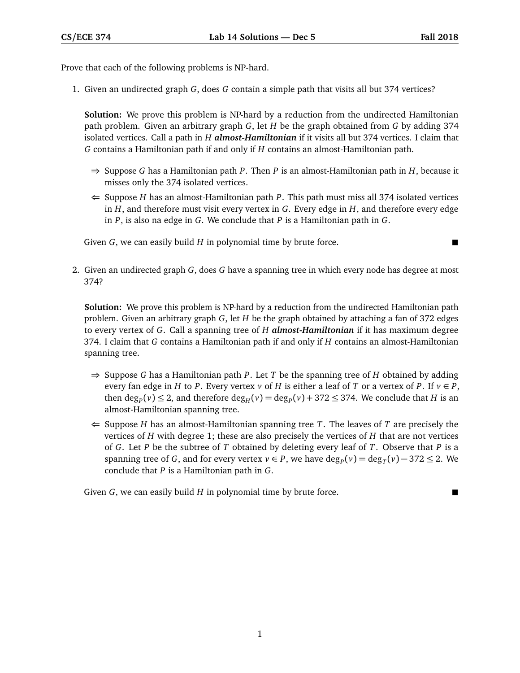Prove that each of the following problems is NP-hard.

1. Given an undirected graph *G*, does *G* contain a simple path that visits all but 374 vertices?

**Solution:** We prove this problem is NP-hard by a reduction from the undirected Hamiltonian path problem. Given an arbitrary graph *G*, let *H* be the graph obtained from *G* by adding 374 isolated vertices. Call a path in *H almost-Hamiltonian* if it visits all but 374 vertices. I claim that *G* contains a Hamiltonian path if and only if *H* contains an almost-Hamiltonian path.

- ⇒ Suppose *G* has a Hamiltonian path *P*. Then *P* is an almost-Hamiltonian path in *H*, because it misses only the 374 isolated vertices.
- $\Leftarrow$  Suppose *H* has an almost-Hamiltonian path *P*. This path must miss all 374 isolated vertices in *H*, and therefore must visit every vertex in *G*. Every edge in *H*, and therefore every edge in *P*, is also na edge in *G*. We conclude that *P* is a Hamiltonian path in *G*.

Given *G*, we can easily build *H* in polynomial time by brute force.

2. Given an undirected graph *G*, does *G* have a spanning tree in which every node has degree at most 374?

**Solution:** We prove this problem is NP-hard by a reduction from the undirected Hamiltonian path problem. Given an arbitrary graph *G*, let *H* be the graph obtained by attaching a fan of 372 edges to every vertex of *G*. Call a spanning tree of *H almost-Hamiltonian* if it has maximum degree 374. I claim that *G* contains a Hamiltonian path if and only if *H* contains an almost-Hamiltonian spanning tree.

- ⇒ Suppose *G* has a Hamiltonian path *P*. Let *T* be the spanning tree of *H* obtained by adding every fan edge in *H* to *P*. Every vertex *v* of *H* is either a leaf of *T* or a vertex of *P*. If  $v \in P$ , then  $\deg_P(v) \leq 2$ , and therefore  $\deg_H(v) = \deg_P(v) + 372 \leq 374$ . We conclude that *H* is an almost-Hamiltonian spanning tree.
- $\Leftarrow$  Suppose *H* has an almost-Hamiltonian spanning tree *T*. The leaves of *T* are precisely the vertices of *H* with degree 1; these are also precisely the vertices of *H* that are not vertices of *G*. Let *P* be the subtree of *T* obtained by deleting every leaf of *T*. Observe that *P* is a spanning tree of *G*, and for every vertex  $v \in P$ , we have  $\deg_P(v) = \deg_T(v) - 372 \le 2$ . We conclude that *P* is a Hamiltonian path in *G*.

Given *G*, we can easily build *H* in polynomial time by brute force.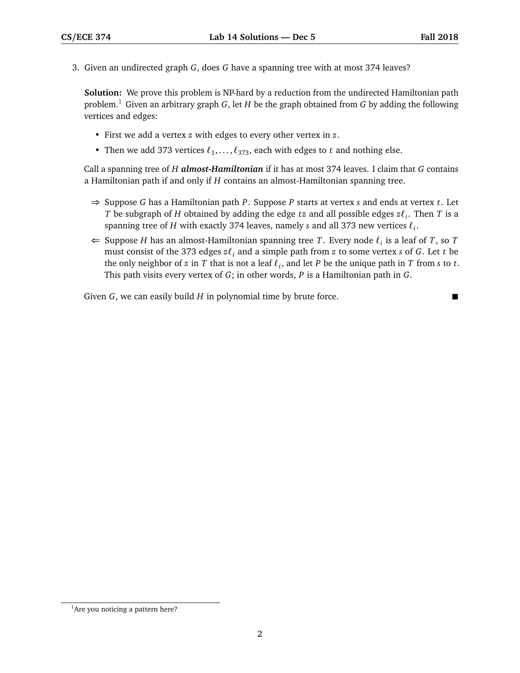3. Given an undirected graph *G*, does *G* have a spanning tree with at most 374 leaves?

**Solution:** We prove this problem is NP-hard by a reduction from the undirected Hamiltonian path problem.[1](#page-1-0) Given an arbitrary graph *G*, let *H* be the graph obtained from *G* by adding the following vertices and edges:

- First we add a vertex *z* with edges to every other vertex in *z*.
- Then we add 373 vertices  $\ell_1, \ldots, \ell_{373}$ , each with edges to *t* and nothing else.

Call a spanning tree of *H almost-Hamiltonian* if it has at most 374 leaves. I claim that *G* contains a Hamiltonian path if and only if *H* contains an almost-Hamiltonian spanning tree.

- ⇒ Suppose *G* has a Hamiltonian path *P*. Suppose *P* starts at vertex *s* and ends at vertex *t*. Let *T* be subgraph of *H* obtained by adding the edge *tz* and all possible edges  $z\ell_i$ . Then *T* is a spanning tree of  $H$  with exactly 374 leaves, namely  $s$  and all 373 new vertices  $\ell_i$ .
- ← Suppose *H* has an almost-Hamiltonian spanning tree *T*. Every node  $\ell$ <sub>*i*</sub> is a leaf of *T*, so *T* must consist of the 373 edges *z`<sup>i</sup>* and a simple path from *z* to some vertex *s* of *G*. Let *t* be the only neighbor of  $z$  in  $T$  that is not a leaf  $\ell_i$ , and let  $P$  be the unique path in  $T$  from  $s$  to  $t$ . This path visits every vertex of *G*; in other words, *P* is a Hamiltonian path in *G*.

Given *G*, we can easily build *H* in polynomial time by brute force.

<span id="page-1-0"></span> $<sup>1</sup>$ Are you noticing a pattern here?</sup>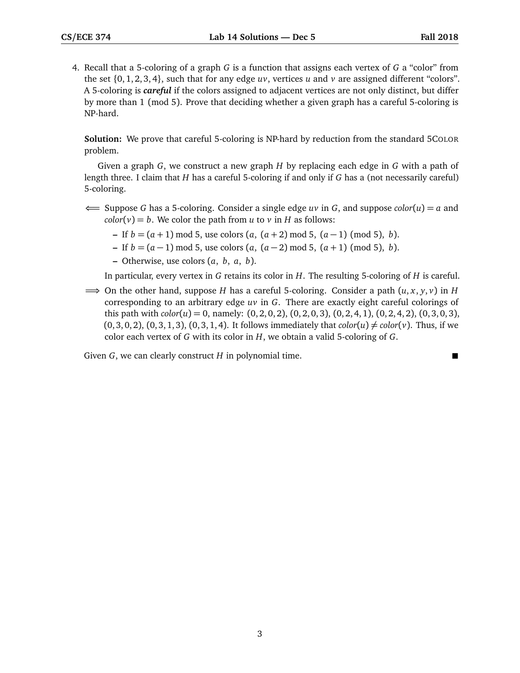4. Recall that a 5-coloring of a graph *G* is a function that assigns each vertex of *G* a "color" from the set  $\{0, 1, 2, 3, 4\}$ , such that for any edge  $uv$ , vertices  $u$  and  $v$  are assigned different "colors". A 5-coloring is *careful* if the colors assigned to adjacent vertices are not only distinct, but differ by more than 1 (mod 5). Prove that deciding whether a given graph has a careful 5-coloring is NP-hard.

**Solution:** We prove that careful 5-coloring is NP-hard by reduction from the standard 5COLOR problem.

Given a graph *G*, we construct a new graph *H* by replacing each edge in *G* with a path of length three. I claim that *H* has a careful 5-coloring if and only if *G* has a (not necessarily careful) 5-coloring.

- ⇐= Suppose *G* has a 5-coloring. Consider a single edge *uv* in *G*, and suppose *color*(*u*) = *a* and  $color(v) = b$ . We color the path from *u* to *v* in *H* as follows:
	- **–** If *b* = (*a* + 1) mod 5, use colors (*a*, (*a* + 2) mod 5, (*a* − 1) (mod 5), *b*).
	- **–** If *b* = (*a* − 1) mod 5, use colors (*a*, (*a* − 2) mod 5, (*a* + 1) (mod 5), *b*).
	- **–** Otherwise, use colors (*a*, *b*, *a*, *b*).

In particular, every vertex in *G* retains its color in *H*. The resulting 5-coloring of *H* is careful.

 $\implies$  On the other hand, suppose *H* has a careful 5-coloring. Consider a path  $(u, x, y, v)$  in *H* corresponding to an arbitrary edge *uv* in *G*. There are exactly eight careful colorings of this path with  $color(u) = 0$ , namely:  $(0, 2, 0, 2)$ ,  $(0, 2, 0, 3)$ ,  $(0, 2, 4, 1)$ ,  $(0, 2, 4, 2)$ ,  $(0, 3, 0, 3)$ ,  $(0, 3, 0, 2)$ ,  $(0, 3, 1, 3)$ ,  $(0, 3, 1, 4)$ . It follows immediately that  $color(u) \neq color(v)$ . Thus, if we color each vertex of *G* with its color in *H*, we obtain a valid 5-coloring of *G*.

Given *G*, we can clearly construct *H* in polynomial time.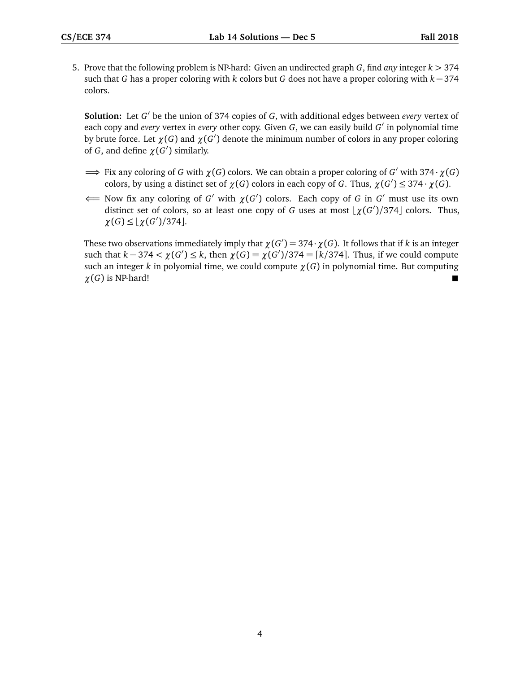5. Prove that the following problem is NP-hard: Given an undirected graph *G*, find *any* integer *k >* 374 such that *G* has a proper coloring with *k* colors but *G* does not have a proper coloring with *k* − 374 colors.

**Solution:** Let *G'* be the union of 374 copies of *G*, with additional edges between *every* vertex of each copy and *every* vertex in *every* other copy. Given *G*, we can easily build *G'* in polynomial time by brute force. Let  $\chi(G)$  and  $\chi(G')$  denote the minimum number of colors in any proper coloring of *G*, and define  $\chi(G')$  similarly.

- $\implies$  Fix any coloring of *G* with  $\chi(G)$  colors. We can obtain a proper coloring of *G'* with 374 ·  $\chi(G)$ colors, by using a distinct set of  $\chi(G)$  colors in each copy of *G*. Thus,  $\chi(G') \leq 374 \cdot \chi(G)$ .
- $\Longleftarrow$  Now fix any coloring of *G'* with  $\chi(G')$  colors. Each copy of *G* in *G'* must use its own distinct set of colors, so at least one copy of *G* uses at most  $\left\lfloor \frac{\chi(G')}{374} \right\rfloor$  colors. Thus,  $\chi(G) \leq \lfloor \chi(G') / 374 \rfloor$ .

These two observations immediately imply that  $\chi(G') = 374 \cdot \chi(G)$ . It follows that if *k* is an integer such that  $k - 374 < \chi(G') \le k$ , then  $\chi(G) = \chi(G')/374 = \lceil k/374 \rceil$ . Thus, if we could compute such an integer *k* in polyomial time, we could compute *χ*(*G*) in polynomial time. But computing  $\chi(G)$  is NP-hard!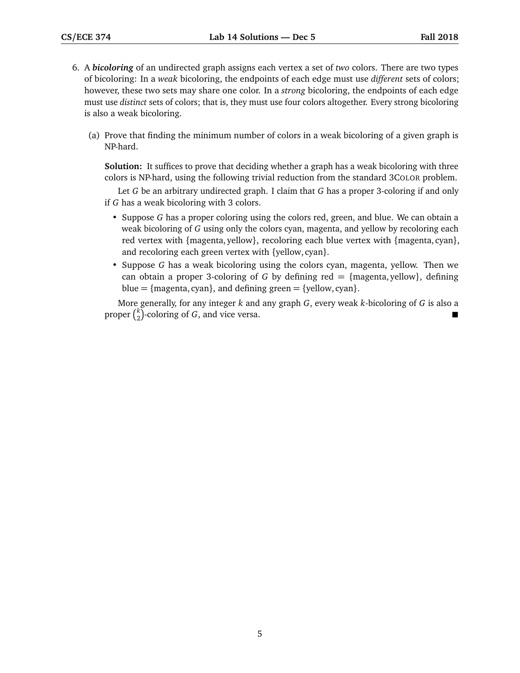- 6. A *bicoloring* of an undirected graph assigns each vertex a set of *two* colors. There are two types of bicoloring: In a *weak* bicoloring, the endpoints of each edge must use *different* sets of colors; however, these two sets may share one color. In a *strong* bicoloring, the endpoints of each edge must use *distinct* sets of colors; that is, they must use four colors altogether. Every strong bicoloring is also a weak bicoloring.
	- (a) Prove that finding the minimum number of colors in a weak bicoloring of a given graph is NP-hard.

**Solution:** It suffices to prove that deciding whether a graph has a weak bicoloring with three colors is NP-hard, using the following trivial reduction from the standard 3COLOR problem.

Let *G* be an arbitrary undirected graph. I claim that *G* has a proper 3-coloring if and only if *G* has a weak bicoloring with 3 colors.

- Suppose *G* has a proper coloring using the colors red, green, and blue. We can obtain a weak bicoloring of *G* using only the colors cyan, magenta, and yellow by recoloring each red vertex with {magenta, yellow}, recoloring each blue vertex with {magenta, cyan}, and recoloring each green vertex with {yellow, cyan}.
- Suppose *G* has a weak bicoloring using the colors cyan, magenta, yellow. Then we can obtain a proper 3-coloring of *G* by defining red  $=$  {magenta, yellow}, defining blue =  ${magenta, cyan}$ , and defining green =  ${yellow, cyan}$ .

More generally, for any integer *k* and any graph *G*, every weak *k*-bicoloring of *G* is also a proper *k*  $\binom{k}{2}$ -coloring of *G*, and vice versa.